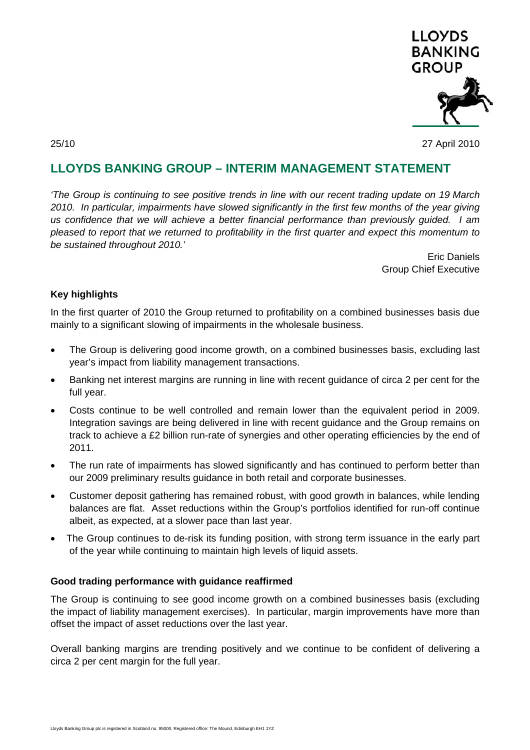

25/10 27 April 2010

# **LLOYDS BANKING GROUP – INTERIM MANAGEMENT STATEMENT**

*'The Group is continuing to see positive trends in line with our recent trading update on 19 March 2010. In particular, impairments have slowed significantly in the first few months of the year giving us confidence that we will achieve a better financial performance than previously guided. I am pleased to report that we returned to profitability in the first quarter and expect this momentum to be sustained throughout 2010.'* 

> Eric Daniels Group Chief Executive

### **Key highlights**

In the first quarter of 2010 the Group returned to profitability on a combined businesses basis due mainly to a significant slowing of impairments in the wholesale business.

- The Group is delivering good income growth, on a combined businesses basis, excluding last year's impact from liability management transactions.
- Banking net interest margins are running in line with recent guidance of circa 2 per cent for the full year.
- Costs continue to be well controlled and remain lower than the equivalent period in 2009. Integration savings are being delivered in line with recent guidance and the Group remains on track to achieve a £2 billion run-rate of synergies and other operating efficiencies by the end of 2011.
- The run rate of impairments has slowed significantly and has continued to perform better than our 2009 preliminary results guidance in both retail and corporate businesses.
- Customer deposit gathering has remained robust, with good growth in balances, while lending balances are flat. Asset reductions within the Group's portfolios identified for run-off continue albeit, as expected, at a slower pace than last year.
- The Group continues to de-risk its funding position, with strong term issuance in the early part of the year while continuing to maintain high levels of liquid assets.

#### **Good trading performance with guidance reaffirmed**

The Group is continuing to see good income growth on a combined businesses basis (excluding the impact of liability management exercises). In particular, margin improvements have more than offset the impact of asset reductions over the last year.

Overall banking margins are trending positively and we continue to be confident of delivering a circa 2 per cent margin for the full year.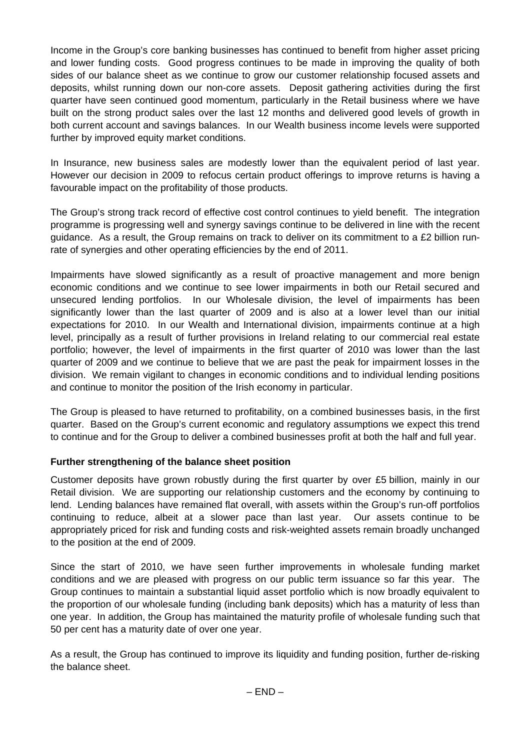Income in the Group's core banking businesses has continued to benefit from higher asset pricing and lower funding costs. Good progress continues to be made in improving the quality of both sides of our balance sheet as we continue to grow our customer relationship focused assets and deposits, whilst running down our non-core assets. Deposit gathering activities during the first quarter have seen continued good momentum, particularly in the Retail business where we have built on the strong product sales over the last 12 months and delivered good levels of growth in both current account and savings balances. In our Wealth business income levels were supported further by improved equity market conditions.

In Insurance, new business sales are modestly lower than the equivalent period of last year. However our decision in 2009 to refocus certain product offerings to improve returns is having a favourable impact on the profitability of those products.

The Group's strong track record of effective cost control continues to yield benefit. The integration programme is progressing well and synergy savings continue to be delivered in line with the recent guidance. As a result, the Group remains on track to deliver on its commitment to a £2 billion runrate of synergies and other operating efficiencies by the end of 2011.

Impairments have slowed significantly as a result of proactive management and more benign economic conditions and we continue to see lower impairments in both our Retail secured and unsecured lending portfolios. In our Wholesale division, the level of impairments has been significantly lower than the last quarter of 2009 and is also at a lower level than our initial expectations for 2010. In our Wealth and International division, impairments continue at a high level, principally as a result of further provisions in Ireland relating to our commercial real estate portfolio; however, the level of impairments in the first quarter of 2010 was lower than the last quarter of 2009 and we continue to believe that we are past the peak for impairment losses in the division. We remain vigilant to changes in economic conditions and to individual lending positions and continue to monitor the position of the Irish economy in particular.

The Group is pleased to have returned to profitability, on a combined businesses basis, in the first quarter. Based on the Group's current economic and regulatory assumptions we expect this trend to continue and for the Group to deliver a combined businesses profit at both the half and full year.

## **Further strengthening of the balance sheet position**

Customer deposits have grown robustly during the first quarter by over £5 billion, mainly in our Retail division. We are supporting our relationship customers and the economy by continuing to lend. Lending balances have remained flat overall, with assets within the Group's run-off portfolios continuing to reduce, albeit at a slower pace than last year. Our assets continue to be appropriately priced for risk and funding costs and risk-weighted assets remain broadly unchanged to the position at the end of 2009.

Since the start of 2010, we have seen further improvements in wholesale funding market conditions and we are pleased with progress on our public term issuance so far this year. The Group continues to maintain a substantial liquid asset portfolio which is now broadly equivalent to the proportion of our wholesale funding (including bank deposits) which has a maturity of less than one year. In addition, the Group has maintained the maturity profile of wholesale funding such that 50 per cent has a maturity date of over one year.

As a result, the Group has continued to improve its liquidity and funding position, further de-risking the balance sheet.